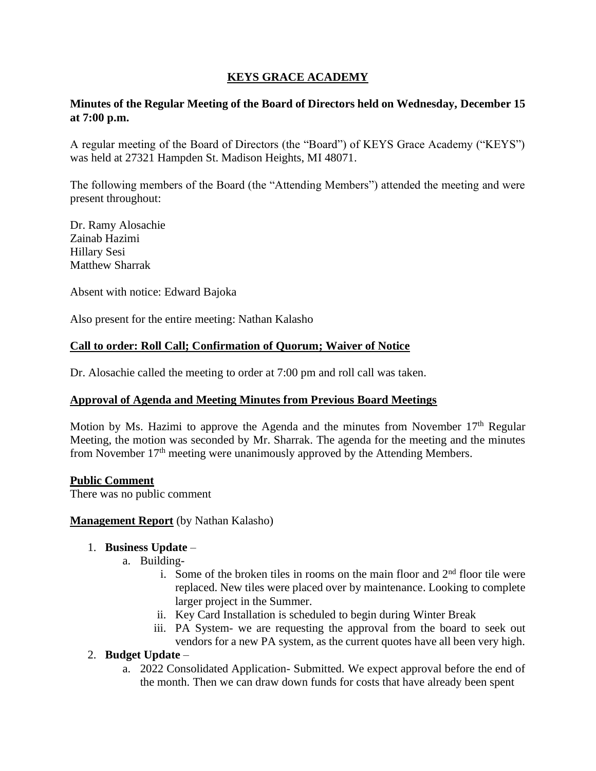# **KEYS GRACE ACADEMY**

## **Minutes of the Regular Meeting of the Board of Directors held on Wednesday, December 15 at 7:00 p.m.**

A regular meeting of the Board of Directors (the "Board") of KEYS Grace Academy ("KEYS") was held at 27321 Hampden St. Madison Heights, MI 48071.

The following members of the Board (the "Attending Members") attended the meeting and were present throughout:

Dr. Ramy Alosachie Zainab Hazimi Hillary Sesi Matthew Sharrak

Absent with notice: Edward Bajoka

Also present for the entire meeting: Nathan Kalasho

## **Call to order: Roll Call; Confirmation of Quorum; Waiver of Notice**

Dr. Alosachie called the meeting to order at 7:00 pm and roll call was taken.

#### **Approval of Agenda and Meeting Minutes from Previous Board Meetings**

Motion by Ms. Hazimi to approve the Agenda and the minutes from November 17<sup>th</sup> Regular Meeting, the motion was seconded by Mr. Sharrak. The agenda for the meeting and the minutes from November 17th meeting were unanimously approved by the Attending Members.

#### **Public Comment**

There was no public comment

#### **Management Report** (by Nathan Kalasho)

#### 1. **Business Update** –

- a. Building
	- i. Some of the broken tiles in rooms on the main floor and  $2<sup>nd</sup>$  floor tile were replaced. New tiles were placed over by maintenance. Looking to complete larger project in the Summer.
	- ii. Key Card Installation is scheduled to begin during Winter Break
	- iii. PA System- we are requesting the approval from the board to seek out vendors for a new PA system, as the current quotes have all been very high.

#### 2. **Budget Update** –

a. 2022 Consolidated Application- Submitted. We expect approval before the end of the month. Then we can draw down funds for costs that have already been spent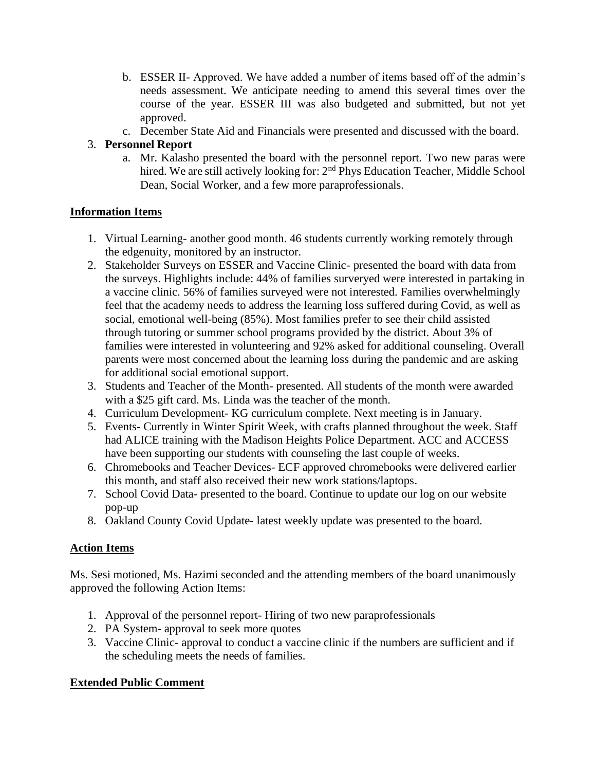- b. ESSER II- Approved. We have added a number of items based off of the admin's needs assessment. We anticipate needing to amend this several times over the course of the year. ESSER III was also budgeted and submitted, but not yet approved.
- c. December State Aid and Financials were presented and discussed with the board.

## 3. **Personnel Report**

a. Mr. Kalasho presented the board with the personnel report. Two new paras were hired. We are still actively looking for: 2<sup>nd</sup> Phys Education Teacher, Middle School Dean, Social Worker, and a few more paraprofessionals.

# **Information Items**

- 1. Virtual Learning- another good month. 46 students currently working remotely through the edgenuity, monitored by an instructor.
- 2. Stakeholder Surveys on ESSER and Vaccine Clinic- presented the board with data from the surveys. Highlights include: 44% of families surveryed were interested in partaking in a vaccine clinic. 56% of families surveyed were not interested. Families overwhelmingly feel that the academy needs to address the learning loss suffered during Covid, as well as social, emotional well-being (85%). Most families prefer to see their child assisted through tutoring or summer school programs provided by the district. About 3% of families were interested in volunteering and 92% asked for additional counseling. Overall parents were most concerned about the learning loss during the pandemic and are asking for additional social emotional support.
- 3. Students and Teacher of the Month- presented. All students of the month were awarded with a \$25 gift card. Ms. Linda was the teacher of the month.
- 4. Curriculum Development- KG curriculum complete. Next meeting is in January.
- 5. Events- Currently in Winter Spirit Week, with crafts planned throughout the week. Staff had ALICE training with the Madison Heights Police Department. ACC and ACCESS have been supporting our students with counseling the last couple of weeks.
- 6. Chromebooks and Teacher Devices- ECF approved chromebooks were delivered earlier this month, and staff also received their new work stations/laptops.
- 7. School Covid Data- presented to the board. Continue to update our log on our website pop-up
- 8. Oakland County Covid Update- latest weekly update was presented to the board.

# **Action Items**

Ms. Sesi motioned, Ms. Hazimi seconded and the attending members of the board unanimously approved the following Action Items:

- 1. Approval of the personnel report- Hiring of two new paraprofessionals
- 2. PA System- approval to seek more quotes
- 3. Vaccine Clinic- approval to conduct a vaccine clinic if the numbers are sufficient and if the scheduling meets the needs of families.

# **Extended Public Comment**